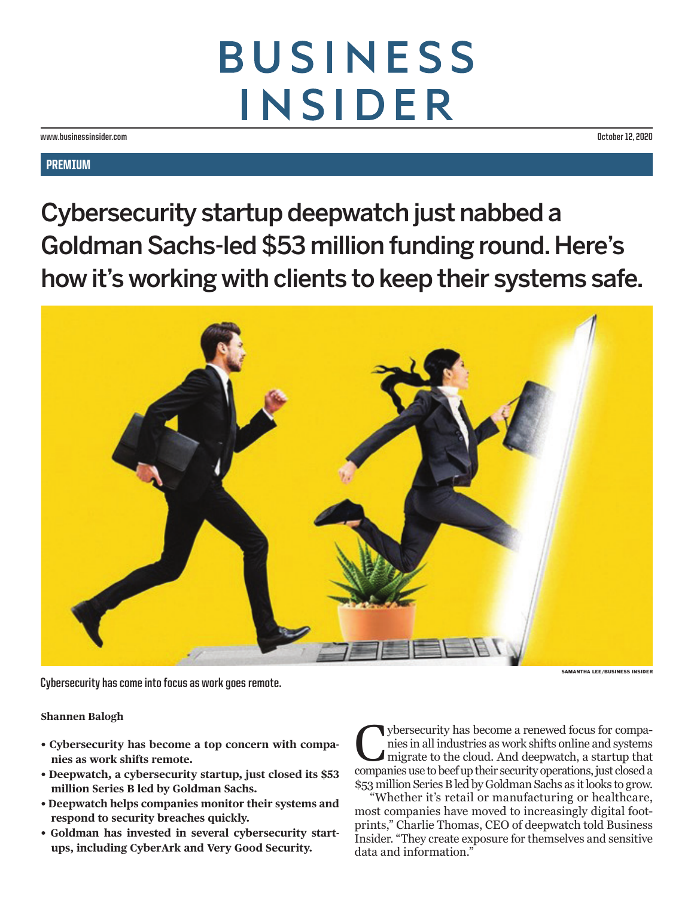## **BUSINESS INSIDER**

**www.businessinsider.com October 12, 2020**

## **PREMIUM**

Cybersecurity startup deepwatch just nabbed a Goldman Sachs-led \$53 million funding round. Here's how it's working with clients to keep their systems safe.



**Cybersecurity has come into focus as work goes remote.** 

**Shannen Balogh** 

- **Cybersecurity has become a top concern with companies as work shifts remote.**
- **Deepwatch, a cybersecurity startup, just closed its \$53 million Series B led by Goldman Sachs.**
- **Deepwatch helps companies monitor their systems and respond to security breaches quickly.**
- **Goldman has invested in several cybersecurity startups, including CyberArk and Very Good Security.**

Cybersecurity has become a renewed focus for companies in all industries as work shifts online and systems migrate to the cloud. And deepwatch, a startup that companies use to beef up their security operations, just closed a \$53 million Series B led by Goldman Sachs as it looks to grow.

"Whether it's retail or manufacturing or healthcare, most companies have moved to increasingly digital footprints," Charlie Thomas, CEO of deepwatch told Business Insider. "They create exposure for themselves and sensitive data and information."